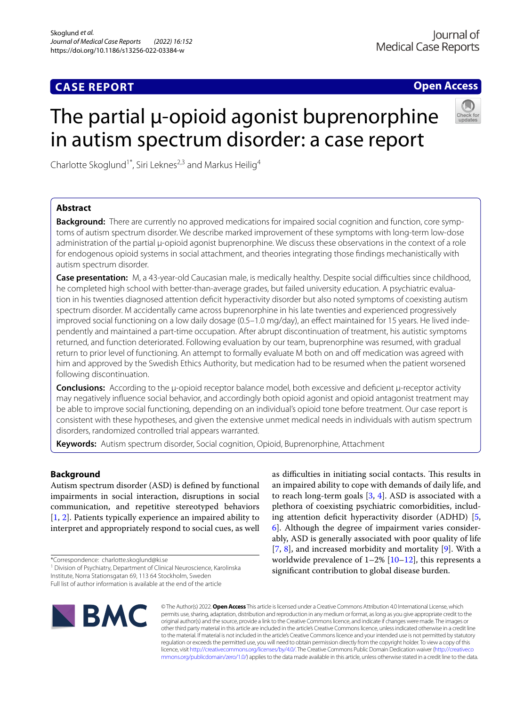# **CASE REPORT**

**Open Access**

# The partial u-opioid agonist buprenorphine in autism spectrum disorder: a case report



Charlotte Skoglund<sup>1\*</sup>, Siri Leknes<sup>2,3</sup> and Markus Heilig<sup>4</sup>

# **Abstract**

**Background:** There are currently no approved medications for impaired social cognition and function, core symptoms of autism spectrum disorder. We describe marked improvement of these symptoms with long-term low-dose administration of the partial µ-opioid agonist buprenorphine. We discuss these observations in the context of a role for endogenous opioid systems in social attachment, and theories integrating those fndings mechanistically with autism spectrum disorder.

Case presentation: M, a 43-year-old Caucasian male, is medically healthy. Despite social difficulties since childhood, he completed high school with better-than-average grades, but failed university education. A psychiatric evaluation in his twenties diagnosed attention deficit hyperactivity disorder but also noted symptoms of coexisting autism spectrum disorder. M accidentally came across buprenorphine in his late twenties and experienced progressively improved social functioning on a low daily dosage (0.5–1.0 mg/day), an efect maintained for 15 years. He lived independently and maintained a part-time occupation. After abrupt discontinuation of treatment, his autistic symptoms returned, and function deteriorated. Following evaluation by our team, buprenorphine was resumed, with gradual return to prior level of functioning. An attempt to formally evaluate M both on and off medication was agreed with him and approved by the Swedish Ethics Authority, but medication had to be resumed when the patient worsened following discontinuation.

**Conclusions:** According to the µ-opioid receptor balance model, both excessive and defcient μ-receptor activity may negatively infuence social behavior, and accordingly both opioid agonist and opioid antagonist treatment may be able to improve social functioning, depending on an individual's opioid tone before treatment. Our case report is consistent with these hypotheses, and given the extensive unmet medical needs in individuals with autism spectrum disorders, randomized controlled trial appears warranted.

**Keywords:** Autism spectrum disorder, Social cognition, Opioid, Buprenorphine, Attachment

# **Background**

Autism spectrum disorder (ASD) is defned by functional impairments in social interaction, disruptions in social communication, and repetitive stereotyped behaviors [[1,](#page-4-0) [2\]](#page-4-1). Patients typically experience an impaired ability to interpret and appropriately respond to social cues, as well

\*Correspondence: charlotte.skoglund@ki.se

<sup>1</sup> Division of Psychiatry, Department of Clinical Neuroscience, Karolinska Institute, Norra Stationsgatan 69, 113 64 Stockholm, Sweden

as difficulties in initiating social contacts. This results in an impaired ability to cope with demands of daily life, and to reach long-term goals  $[3, 4]$  $[3, 4]$  $[3, 4]$  $[3, 4]$ . ASD is associated with a plethora of coexisting psychiatric comorbidities, includ-ing attention deficit hyperactivity disorder (ADHD) [\[5](#page-4-4), [6\]](#page-4-5). Although the degree of impairment varies considerably, ASD is generally associated with poor quality of life [[7,](#page-4-6) [8\]](#page-4-7), and increased morbidity and mortality [\[9](#page-4-8)]. With a worldwide prevalence of  $1-2\%$  [10-[12\]](#page-4-10), this represents a signifcant contribution to global disease burden.



© The Author(s) 2022. **Open Access** This article is licensed under a Creative Commons Attribution 4.0 International License, which permits use, sharing, adaptation, distribution and reproduction in any medium or format, as long as you give appropriate credit to the original author(s) and the source, provide a link to the Creative Commons licence, and indicate if changes were made. The images or other third party material in this article are included in the article's Creative Commons licence, unless indicated otherwise in a credit line to the material. If material is not included in the article's Creative Commons licence and your intended use is not permitted by statutory regulation or exceeds the permitted use, you will need to obtain permission directly from the copyright holder. To view a copy of this licence, visit [http://creativecommons.org/licenses/by/4.0/.](http://creativecommons.org/licenses/by/4.0/) The Creative Commons Public Domain Dedication waiver ([http://creativeco](http://creativecommons.org/publicdomain/zero/1.0/) [mmons.org/publicdomain/zero/1.0/](http://creativecommons.org/publicdomain/zero/1.0/)) applies to the data made available in this article, unless otherwise stated in a credit line to the data.

Full list of author information is available at the end of the article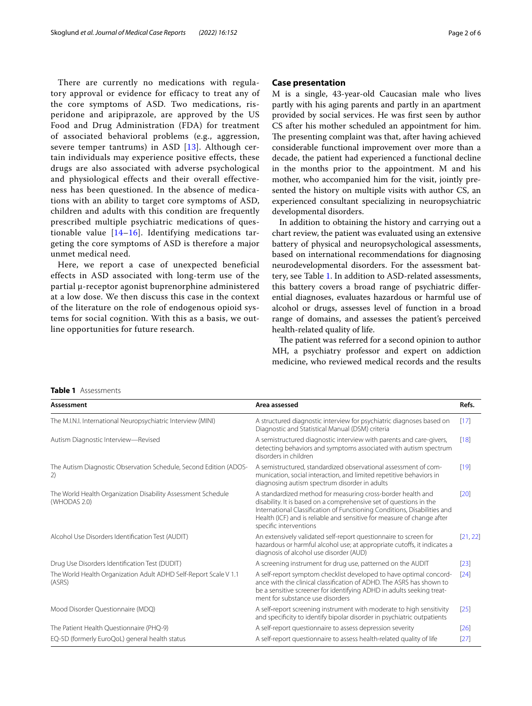There are currently no medications with regulatory approval or evidence for efficacy to treat any of the core symptoms of ASD. Two medications, risperidone and aripiprazole, are approved by the US Food and Drug Administration (FDA) for treatment of associated behavioral problems (e.g., aggression, severe temper tantrums) in ASD [\[13\]](#page-4-11). Although certain individuals may experience positive effects, these drugs are also associated with adverse psychological and physiological effects and their overall effectiveness has been questioned. In the absence of medications with an ability to target core symptoms of ASD, children and adults with this condition are frequently prescribed multiple psychiatric medications of questionable value [[14–](#page-4-12)[16](#page-4-13)]. Identifying medications targeting the core symptoms of ASD is therefore a major unmet medical need.

Here, we report a case of unexpected beneficial effects in ASD associated with long-term use of the partial µ-receptor agonist buprenorphine administered at a low dose. We then discuss this case in the context of the literature on the role of endogenous opioid systems for social cognition. With this as a basis, we outline opportunities for future research.

## **Case presentation**

M is a single, 43-year-old Caucasian male who lives partly with his aging parents and partly in an apartment provided by social services. He was frst seen by author CS after his mother scheduled an appointment for him. The presenting complaint was that, after having achieved considerable functional improvement over more than a decade, the patient had experienced a functional decline in the months prior to the appointment. M and his mother, who accompanied him for the visit, jointly presented the history on multiple visits with author CS, an experienced consultant specializing in neuropsychiatric developmental disorders.

In addition to obtaining the history and carrying out a chart review, the patient was evaluated using an extensive battery of physical and neuropsychological assessments, based on international recommendations for diagnosing neurodevelopmental disorders. For the assessment battery, see Table [1.](#page-1-0) In addition to ASD-related assessments, this battery covers a broad range of psychiatric diferential diagnoses, evaluates hazardous or harmful use of alcohol or drugs, assesses level of function in a broad range of domains, and assesses the patient's perceived health-related quality of life.

The patient was referred for a second opinion to author MH, a psychiatry professor and expert on addiction medicine, who reviewed medical records and the results

#### <span id="page-1-0"></span>**Table 1** Assessments

| Assessment                                                                   | Area assessed                                                                                                                                                                                                                                                                                                     | Refs.    |
|------------------------------------------------------------------------------|-------------------------------------------------------------------------------------------------------------------------------------------------------------------------------------------------------------------------------------------------------------------------------------------------------------------|----------|
| The M.I.N.I. International Neuropsychiatric Interview (MINI)                 | A structured diagnostic interview for psychiatric diagnoses based on<br>Diagnostic and Statistical Manual (DSM) criteria                                                                                                                                                                                          | [17]     |
| Autism Diagnostic Interview-Revised                                          | A semistructured diagnostic interview with parents and care-givers,<br>detecting behaviors and symptoms associated with autism spectrum<br>disorders in children                                                                                                                                                  | $[18]$   |
| The Autism Diagnostic Observation Schedule, Second Edition (ADOS-<br>2)      | A semistructured, standardized observational assessment of com-<br>munication, social interaction, and limited repetitive behaviors in<br>diagnosing autism spectrum disorder in adults                                                                                                                           | [19]     |
| The World Health Organization Disability Assessment Schedule<br>(WHODAS 2.0) | A standardized method for measuring cross-border health and<br>disability. It is based on a comprehensive set of questions in the<br>International Classification of Functioning Conditions, Disabilities and<br>Health (ICF) and is reliable and sensitive for measure of change after<br>specific interventions | [20]     |
| Alcohol Use Disorders Identification Test (AUDIT)                            | An extensively validated self-report questionnaire to screen for<br>hazardous or harmful alcohol use; at appropriate cutoffs, it indicates a<br>diagnosis of alcohol use disorder (AUD)                                                                                                                           | [21, 22] |
| Drug Use Disorders Identification Test (DUDIT)                               | A screening instrument for drug use, patterned on the AUDIT                                                                                                                                                                                                                                                       | [23]     |
| The World Health Organization Adult ADHD Self-Report Scale V 1.1<br>(ASRS)   | A self-report symptom checklist developed to have optimal concord-<br>ance with the clinical classification of ADHD. The ASRS has shown to<br>be a sensitive screener for identifying ADHD in adults seeking treat-<br>ment for substance use disorders                                                           | [24]     |
| Mood Disorder Questionnaire (MDQ)                                            | A self-report screening instrument with moderate to high sensitivity<br>and specificity to identify bipolar disorder in psychiatric outpatients                                                                                                                                                                   | $[25]$   |
| The Patient Health Questionnaire (PHQ-9)                                     | A self-report questionnaire to assess depression severity                                                                                                                                                                                                                                                         | [26]     |
| EQ-5D (formerly EuroQoL) general health status                               | A self-report questionnaire to assess health-related quality of life                                                                                                                                                                                                                                              | [27]     |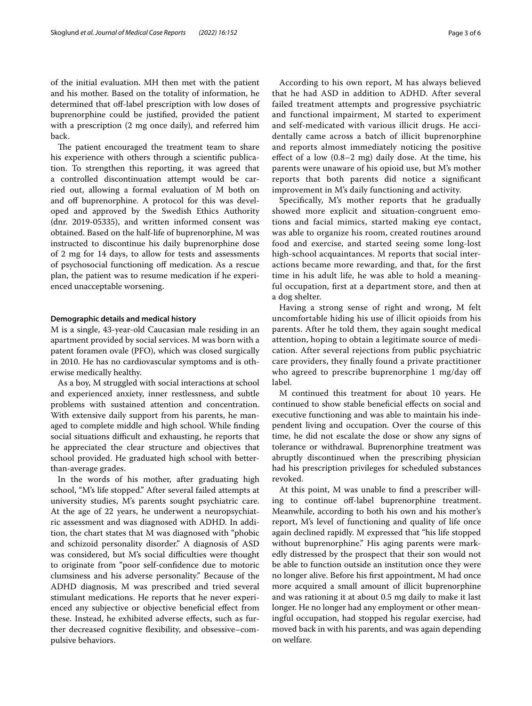of the initial evaluation. MH then met with the patient and his mother. Based on the totality of information, he determined that off-label prescription with low doses of buprenorphine could be justifed, provided the patient with a prescription (2 mg once daily), and referred him back.

The patient encouraged the treatment team to share his experience with others through a scientifc publication. To strengthen this reporting, it was agreed that a controlled discontinuation attempt would be carried out, allowing a formal evaluation of M both on and off buprenorphine. A protocol for this was developed and approved by the Swedish Ethics Authority (dnr. 2019-05335), and written informed consent was obtained. Based on the half-life of buprenorphine, M was instructed to discontinue his daily buprenorphine dose of 2 mg for 14 days, to allow for tests and assessments of psychosocial functioning of medication. As a rescue plan, the patient was to resume medication if he experienced unacceptable worsening.

#### **Demographic details and medical history**

M is a single, 43-year-old Caucasian male residing in an apartment provided by social services. M was born with a patent foramen ovale (PFO), which was closed surgically in 2010. He has no cardiovascular symptoms and is otherwise medically healthy.

As a boy, M struggled with social interactions at school and experienced anxiety, inner restlessness, and subtle problems with sustained attention and concentration. With extensive daily support from his parents, he managed to complete middle and high school. While fnding social situations difficult and exhausting, he reports that he appreciated the clear structure and objectives that school provided. He graduated high school with betterthan-average grades.

In the words of his mother, after graduating high school, "M's life stopped." After several failed attempts at university studies, M's parents sought psychiatric care. At the age of 22 years, he underwent a neuropsychiatric assessment and was diagnosed with ADHD. In addition, the chart states that M was diagnosed with "phobic and schizoid personality disorder." A diagnosis of ASD was considered, but M's social difficulties were thought to originate from "poor self-confdence due to motoric clumsiness and his adverse personality." Because of the ADHD diagnosis, M was prescribed and tried several stimulant medications. He reports that he never experienced any subjective or objective benefcial efect from these. Instead, he exhibited adverse efects, such as further decreased cognitive fexibility, and obsessive–compulsive behaviors.

According to his own report, M has always believed that he had ASD in addition to ADHD. After several failed treatment attempts and progressive psychiatric and functional impairment, M started to experiment and self-medicated with various illicit drugs. He accidentally came across a batch of illicit buprenorphine and reports almost immediately noticing the positive efect of a low (0.8–2 mg) daily dose. At the time, his parents were unaware of his opioid use, but M's mother reports that both parents did notice a signifcant improvement in M's daily functioning and activity.

Specifcally, M's mother reports that he gradually showed more explicit and situation-congruent emotions and facial mimics, started making eye contact, was able to organize his room, created routines around food and exercise, and started seeing some long-lost high-school acquaintances. M reports that social interactions became more rewarding, and that, for the frst time in his adult life, he was able to hold a meaningful occupation, frst at a department store, and then at a dog shelter.

Having a strong sense of right and wrong, M felt uncomfortable hiding his use of illicit opioids from his parents. After he told them, they again sought medical attention, hoping to obtain a legitimate source of medication. After several rejections from public psychiatric care providers, they fnally found a private practitioner who agreed to prescribe buprenorphine 1 mg/day off label.

M continued this treatment for about 10 years. He continued to show stable benefcial efects on social and executive functioning and was able to maintain his independent living and occupation. Over the course of this time, he did not escalate the dose or show any signs of tolerance or withdrawal. Buprenorphine treatment was abruptly discontinued when the prescribing physician had his prescription privileges for scheduled substances revoked.

At this point, M was unable to fnd a prescriber willing to continue off-label buprenorphine treatment. Meanwhile, according to both his own and his mother's report, M's level of functioning and quality of life once again declined rapidly. M expressed that "his life stopped without buprenorphine." His aging parents were markedly distressed by the prospect that their son would not be able to function outside an institution once they were no longer alive. Before his frst appointment, M had once more acquired a small amount of illicit buprenorphine and was rationing it at about 0.5 mg daily to make it last longer. He no longer had any employment or other meaningful occupation, had stopped his regular exercise, had moved back in with his parents, and was again depending on welfare.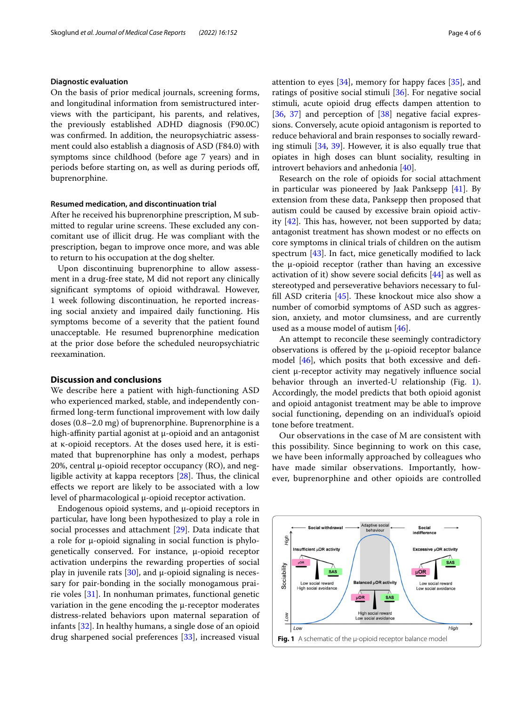#### **Diagnostic evaluation**

On the basis of prior medical journals, screening forms, and longitudinal information from semistructured interviews with the participant, his parents, and relatives, the previously established ADHD diagnosis (F90.0C) was confrmed. In addition, the neuropsychiatric assessment could also establish a diagnosis of ASD (F84.0) with symptoms since childhood (before age 7 years) and in periods before starting on, as well as during periods of, buprenorphine.

#### **Resumed medication, and discontinuation trial**

After he received his buprenorphine prescription, M submitted to regular urine screens. These excluded any concomitant use of illicit drug. He was compliant with the prescription, began to improve once more, and was able to return to his occupation at the dog shelter.

Upon discontinuing buprenorphine to allow assessment in a drug-free state, M did not report any clinically signifcant symptoms of opioid withdrawal. However, 1 week following discontinuation, he reported increasing social anxiety and impaired daily functioning. His symptoms become of a severity that the patient found unacceptable. He resumed buprenorphine medication at the prior dose before the scheduled neuropsychiatric reexamination.

# **Discussion and conclusions**

We describe here a patient with high-functioning ASD who experienced marked, stable, and independently confrmed long-term functional improvement with low daily doses (0.8–2.0 mg) of buprenorphine. Buprenorphine is a high-affinity partial agonist at  $\mu$ -opioid and an antagonist at κ-opioid receptors. At the doses used here, it is estimated that buprenorphine has only a modest, perhaps 20%, central  $\mu$ -opioid receptor occupancy (RO), and negligible activity at kappa receptors  $[28]$  $[28]$ . Thus, the clinical efects we report are likely to be associated with a low level of pharmacological µ-opioid receptor activation.

Endogenous opioid systems, and  $\mu$ -opioid receptors in particular, have long been hypothesized to play a role in social processes and attachment [\[29](#page-5-11)]. Data indicate that a role for µ-opioid signaling in social function is phylogenetically conserved. For instance, µ-opioid receptor activation underpins the rewarding properties of social play in juvenile rats  $[30]$  $[30]$ , and  $\mu$ -opioid signaling is necessary for pair-bonding in the socially monogamous prairie voles [\[31](#page-5-13)]. In nonhuman primates, functional genetic variation in the gene encoding the µ-receptor moderates distress-related behaviors upon maternal separation of infants [\[32](#page-5-14)]. In healthy humans, a single dose of an opioid drug sharpened social preferences [[33\]](#page-5-15), increased visual attention to eyes [[34\]](#page-5-16), memory for happy faces [\[35\]](#page-5-17), and ratings of positive social stimuli [\[36\]](#page-5-18). For negative social stimuli, acute opioid drug efects dampen attention to [[36,](#page-5-18) [37](#page-5-19)] and perception of [\[38](#page-5-20)] negative facial expressions. Conversely, acute opioid antagonism is reported to reduce behavioral and brain responses to socially rewarding stimuli [[34](#page-5-16), [39\]](#page-5-21). However, it is also equally true that opiates in high doses can blunt sociality, resulting in introvert behaviors and anhedonia [[40\]](#page-5-22).

Research on the role of opioids for social attachment in particular was pioneered by Jaak Panksepp [[41](#page-5-23)]. By extension from these data, Panksepp then proposed that autism could be caused by excessive brain opioid activity  $[42]$  $[42]$  $[42]$ . This has, however, not been supported by data; antagonist treatment has shown modest or no efects on core symptoms in clinical trials of children on the autism spectrum [\[43\]](#page-5-25). In fact, mice genetically modifed to lack the  $\mu$ -opioid receptor (rather than having an excessive activation of it) show severe social deficits  $[44]$  $[44]$  as well as stereotyped and perseverative behaviors necessary to fulfill ASD criteria  $[45]$ . These knockout mice also show a number of comorbid symptoms of ASD such as aggression, anxiety, and motor clumsiness, and are currently used as a mouse model of autism  $[46]$  $[46]$ .

An attempt to reconcile these seemingly contradictory observations is offered by the  $\mu$ -opioid receptor balance model [[46\]](#page-5-28), which posits that both excessive and deficient μ-receptor activity may negatively infuence social behavior through an inverted-U relationship (Fig. [1](#page-3-0)). Accordingly, the model predicts that both opioid agonist and opioid antagonist treatment may be able to improve social functioning, depending on an individual's opioid tone before treatment.

Our observations in the case of M are consistent with this possibility. Since beginning to work on this case, we have been informally approached by colleagues who have made similar observations. Importantly, however, buprenorphine and other opioids are controlled

<span id="page-3-0"></span>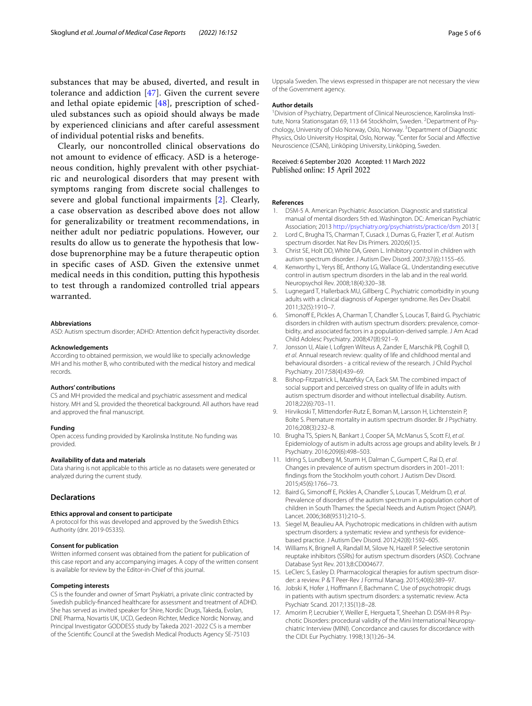substances that may be abused, diverted, and result in tolerance and addiction [[47\]](#page-5-29). Given the current severe and lethal opiate epidemic [[48](#page-5-30)], prescription of scheduled substances such as opioid should always be made by experienced clinicians and after careful assessment of individual potential risks and benefts.

Clearly, our noncontrolled clinical observations do not amount to evidence of efficacy. ASD is a heterogeneous condition, highly prevalent with other psychiatric and neurological disorders that may present with symptoms ranging from discrete social challenges to severe and global functional impairments [[2](#page-4-1)]. Clearly, a case observation as described above does not allow for generalizability or treatment recommendations, in neither adult nor pediatric populations. However, our results do allow us to generate the hypothesis that lowdose buprenorphine may be a future therapeutic option in specifc cases of ASD. Given the extensive unmet medical needs in this condition, putting this hypothesis to test through a randomized controlled trial appears warranted.

#### **Abbreviations**

ASD: Autism spectrum disorder; ADHD: Attention defcit hyperactivity disorder.

#### **Acknowledgements**

According to obtained permission, we would like to specially acknowledge MH and his mother B, who contributed with the medical history and medical records.

#### **Authors' contributions**

CS and MH provided the medical and psychiatric assessment and medical history. MH and SL provided the theoretical background. All authors have read and approved the fnal manuscript.

#### **Funding**

Open access funding provided by Karolinska Institute. No funding was provided.

#### **Availability of data and materials**

Data sharing is not applicable to this article as no datasets were generated or analyzed during the current study.

## **Declarations**

#### **Ethics approval and consent to participate**

A protocol for this was developed and approved by the Swedish Ethics Authority (dnr. 2019-05335).

#### **Consent for publication**

Written informed consent was obtained from the patient for publication of this case report and any accompanying images. A copy of the written consent is available for review by the Editor-in-Chief of this journal.

#### **Competing interests**

CS is the founder and owner of Smart Psykiatri, a private clinic contracted by Swedish publicly-fnanced healthcare for assessment and treatment of ADHD. She has served as invited speaker for Shire, Nordic Drugs, Takeda, Evolan, DNE Pharma, Novartis UK, UCD, Gedeon Richter, Medice Nordic Norway, and Principal Investigator GODDESS study by Takeda 2021-2022 CS is a member of the Scientifc Council at the Swedish Medical Products Agency SE-75103

Uppsala Sweden. The views expressed in thispaper are not necessary the view of the Government agency.

#### **Author details**

<sup>1</sup> Division of Psychiatry, Department of Clinical Neuroscience, Karolinska Institute, Norra Stationsgatan 69, 113 64 Stockholm, Sweden. <sup>2</sup> Department of Psychology, University of Oslo Norway, Oslo, Norway. <sup>3</sup> Department of Diagnostic Physics, Oslo University Hospital, Oslo, Norway. <sup>4</sup> Center for Social and Affective Neuroscience (CSAN), Linköping University, Linköping, Sweden.

# Received: 6 September 2020 Accepted: 11 March 2022

#### **References**

- <span id="page-4-0"></span>1. DSM-5 A. American Psychiatric Association. Diagnostic and statistical manual of mental disorders 5th ed. Washington. DC: American Psychiatric Association; 2013<http://psychiatry.org/psychiatrists/practice/dsm>2013 [
- <span id="page-4-1"></span>2. Lord C, Brugha TS, Charman T, Cusack J, Dumas G, Frazier T, *et al*. Autism spectrum disorder. Nat Rev Dis Primers. 2020;6(1):5.
- <span id="page-4-2"></span>3. Christ SE, Holt DD, White DA, Green L. Inhibitory control in children with autism spectrum disorder. J Autism Dev Disord. 2007;37(6):1155–65.
- <span id="page-4-3"></span>4. Kenworthy L, Yerys BE, Anthony LG, Wallace GL. Understanding executive control in autism spectrum disorders in the lab and in the real world. Neuropsychol Rev. 2008;18(4):320–38.
- <span id="page-4-4"></span>5. Lugnegard T, Hallerback MU, Gillberg C. Psychiatric comorbidity in young adults with a clinical diagnosis of Asperger syndrome. Res Dev Disabil. 2011;32(5):1910–7.
- <span id="page-4-5"></span>6. Simonoff E, Pickles A, Charman T, Chandler S, Loucas T, Baird G. Psychiatric disorders in children with autism spectrum disorders: prevalence, comorbidity, and associated factors in a population-derived sample. J Am Acad Child Adolesc Psychiatry. 2008;47(8):921–9.
- <span id="page-4-6"></span>7. Jonsson U, Alaie I, Lofgren Wilteus A, Zander E, Marschik PB, Coghill D, *et al*. Annual research review: quality of life and childhood mental and behavioural disorders - a critical review of the research. J Child Psychol Psychiatry. 2017;58(4):439–69.
- <span id="page-4-7"></span>8. Bishop-Fitzpatrick L, Mazefsky CA, Eack SM. The combined impact of social support and perceived stress on quality of life in adults with autism spectrum disorder and without intellectual disability. Autism. 2018;22(6):703–11.
- <span id="page-4-8"></span>9. Hirvikoski T, Mittendorfer-Rutz E, Boman M, Larsson H, Lichtenstein P, Bolte S. Premature mortality in autism spectrum disorder. Br J Psychiatry. 2016;208(3):232–8.
- <span id="page-4-9"></span>10. Brugha TS, Spiers N, Bankart J, Cooper SA, McManus S, Scott FJ, *et al*. Epidemiology of autism in adults across age groups and ability levels. Br J Psychiatry. 2016;209(6):498–503.
- 11. Idring S, Lundberg M, Sturm H, Dalman C, Gumpert C, Rai D, *et al*. Changes in prevalence of autism spectrum disorders in 2001–2011: fndings from the Stockholm youth cohort. J Autism Dev Disord. 2015;45(6):1766–73.
- <span id="page-4-10"></span>12. Baird G, Simonof E, Pickles A, Chandler S, Loucas T, Meldrum D, *et al*. Prevalence of disorders of the autism spectrum in a population cohort of children in South Thames: the Special Needs and Autism Project (SNAP). Lancet. 2006;368(9531):210–5.
- <span id="page-4-11"></span>13. Siegel M, Beaulieu AA. Psychotropic medications in children with autism spectrum disorders: a systematic review and synthesis for evidencebased practice. J Autism Dev Disord. 2012;42(8):1592–605.
- <span id="page-4-12"></span>14. Williams K, Brignell A, Randall M, Silove N, Hazell P. Selective serotonin reuptake inhibitors (SSRIs) for autism spectrum disorders (ASD). Cochrane Database Syst Rev. 2013;8:CD004677.
- 15. LeClerc S, Easley D. Pharmacological therapies for autism spectrum disorder: a review. P & T Peer-Rev J Formul Manag. 2015;40(6):389–97.
- <span id="page-4-13"></span>16. Jobski K, Hofer J, Hofmann F, Bachmann C. Use of psychotropic drugs in patients with autism spectrum disorders: a systematic review. Acta Psychiatr Scand. 2017;135(1):8–28.
- <span id="page-4-14"></span>17. Amorim P, Lecrubier Y, Weiller E, Hergueta T, Sheehan D. DSM-IH-R Psychotic Disorders: procedural validity of the Mini International Neuropsychiatric Interview (MINI). Concordance and causes for discordance with the CIDI. Eur Psychiatry. 1998;13(1):26–34.